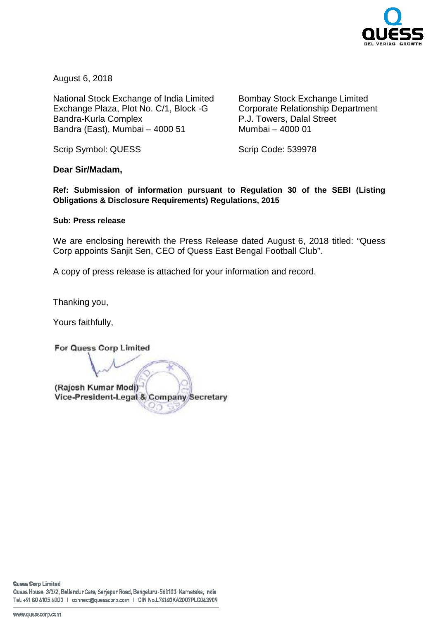

August 6, 2018

National Stock Exchange of India Limited Exchange Plaza, Plot No. C/1, Block Bandra-Kurla Complex Bandra (East), Mumbai – 4000 51

 Bombay Stock Exchange Limited Corporate Relationship Department P.J. Towers, Dalal Street 51 Mumbai – 4000 01

Scrip Symbol: QUESS

Scrip Code: 539978

**Dear Sir/Madam,** 

**Ref: Submission of information pursuant to Regulation 30 of the SEBI (Listing Obligations & Disclosure Requirements) Regulations, 2015**

## **Sub: Press release**

We are enclosing herewith the Press Release dated August 6, 2018 2018 titled: "Quess Corp appoints Sanjit Sen, CEO of Quess East Bengal Football Club Club".

A copy of press release is attached for your information and record.

Thanking you,

Yours faithfully,

For Quess Corp Limited (Rajesh Kumar Modi) Vice-President-Legal & Company Secretary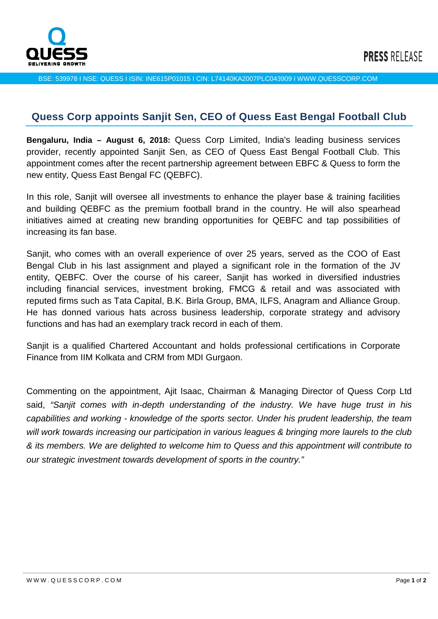

BSE: 539978 I NSE: QUESS I ISIN: INE615P01015 I CIN: L74140KA2007PLC043909 I WWW.QUESSCORP.COM

## **Quess Corp appoints Sanjit Sen, CEO of Quess East Bengal Football Club**

**Bengaluru, India – August 6, 2018:** Quess Corp Limited, India's leading business services provider, recently appointed Sanjit Sen, as CEO of Quess East Bengal Football Club. This appointment comes after the recent partnership agreement between EBFC & Quess to form the new entity, Quess East Bengal FC (QEBFC).

In this role, Sanjit will oversee all investments to enhance the player base & training facilities and building QEBFC as the premium football brand in the country. He will also spearhead initiatives aimed at creating new branding opportunities for QEBFC and tap possibilities of increasing its fan base.

Sanjit, who comes with an overall experience of over 25 years, served as the COO of East Bengal Club in his last assignment and played a significant role in the formation of the JV entity, QEBFC. Over the course of his career, Sanjit has worked in diversified industries including financial services, investment broking, FMCG & retail and was associated with reputed firms such as Tata Capital, B.K. Birla Group, BMA, ILFS, Anagram and Alliance Group. He has donned various hats across business leadership, corporate strategy and advisory functions and has had an exemplary track record in each of them.

Sanjit is a qualified Chartered Accountant and holds professional certifications in Corporate Finance from IIM Kolkata and CRM from MDI Gurgaon.

Commenting on the appointment, Ajit Isaac, Chairman & Managing Director of Quess Corp Ltd said, "Sanjit comes with in-depth understanding of the industry. We have huge trust in his capabilities and working - knowledge of the sports sector. Under his prudent leadership, the team will work towards increasing our participation in various leagues & bringing more laurels to the club & its members. We are delighted to welcome him to Quess and this appointment will contribute to our strategic investment towards development of sports in the country."